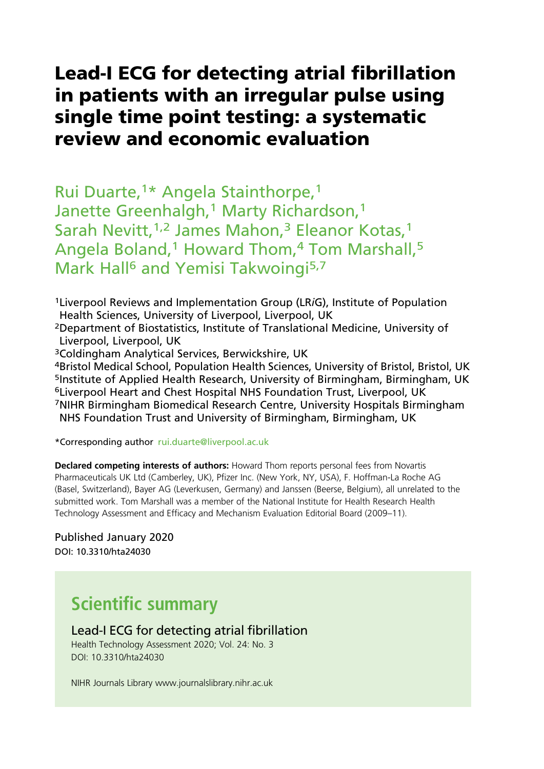# Lead-I ECG for detecting atrial fibrillation in patients with an irregular pulse using single time point testing: a systematic review and economic evaluation

Rui Duarte,1\* Angela Stainthorpe,1 Janette Greenhalgh,<sup>1</sup> Marty Richardson,<sup>1</sup> Sarah Nevitt, <sup>1,2</sup> James Mahon,<sup>3</sup> Eleanor Kotas,<sup>1</sup> Angela Boland,<sup>1</sup> Howard Thom,<sup>4</sup> Tom Marshall,<sup>5</sup> Mark Hall<sup>6</sup> and Yemisi Takwoingi<sup>5,7</sup>

1Liverpool Reviews and Implementation Group (LRiG), Institute of Population Health Sciences, University of Liverpool, Liverpool, UK

2Department of Biostatistics, Institute of Translational Medicine, University of Liverpool, Liverpool, UK

3Coldingham Analytical Services, Berwickshire, UK

4Bristol Medical School, Population Health Sciences, University of Bristol, Bristol, UK 5Institute of Applied Health Research, University of Birmingham, Birmingham, UK 6Liverpool Heart and Chest Hospital NHS Foundation Trust, Liverpool, UK 7NIHR Birmingham Biomedical Research Centre, University Hospitals Birmingham NHS Foundation Trust and University of Birmingham, Birmingham, UK

\*Corresponding author rui.duarte@liverpool.ac.uk

**Declared competing interests of authors:** Howard Thom reports personal fees from Novartis Pharmaceuticals UK Ltd (Camberley, UK), Pfizer Inc. (New York, NY, USA), F. Hoffman-La Roche AG (Basel, Switzerland), Bayer AG (Leverkusen, Germany) and Janssen (Beerse, Belgium), all unrelated to the submitted work. Tom Marshall was a member of the National Institute for Health Research Health Technology Assessment and Efficacy and Mechanism Evaluation Editorial Board (2009–11).

Published January 2020 DOI: 10.3310/hta24030

# Scientific summary

Lead-I ECG for detecting atrial fibrillation Health Technology Assessment 2020; Vol. 24: No. 3 DOI: 10.3310/hta24030

NIHR Journals Library www.journalslibrary.nihr.ac.uk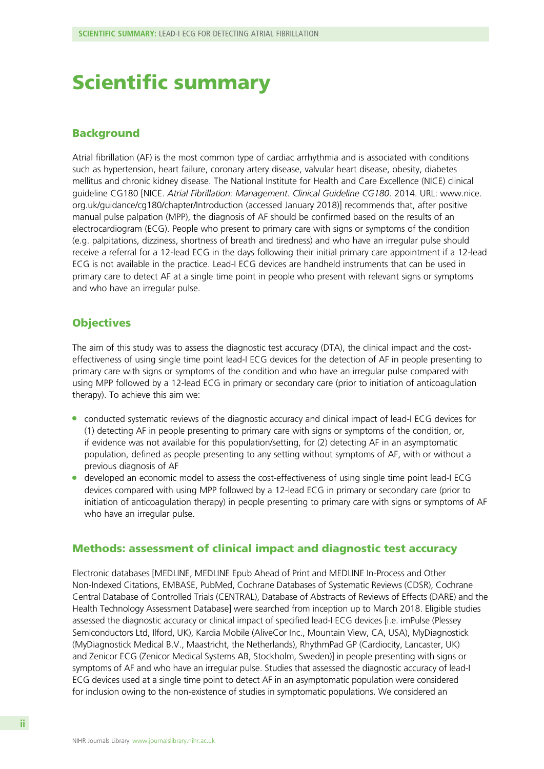# Scientific summary

### Background

Atrial fibrillation (AF) is the most common type of cardiac arrhythmia and is associated with conditions such as hypertension, heart failure, coronary artery disease, valvular heart disease, obesity, diabetes mellitus and chronic kidney disease. The National Institute for Health and Care Excellence (NICE) clinical guideline CG180 [NICE. Atrial Fibrillation: Management. Clinical Guideline CG180. 2014. URL: [www.nice.](http://www.nice.org.uk/guidance/cg180/chapter/Introduction) [org.uk/guidance/cg180/chapter/Introduction](http://www.nice.org.uk/guidance/cg180/chapter/Introduction) (accessed January 2018)] recommends that, after positive manual pulse palpation (MPP), the diagnosis of AF should be confirmed based on the results of an electrocardiogram (ECG). People who present to primary care with signs or symptoms of the condition (e.g. palpitations, dizziness, shortness of breath and tiredness) and who have an irregular pulse should receive a referral for a 12-lead ECG in the days following their initial primary care appointment if a 12-lead ECG is not available in the practice. Lead-I ECG devices are handheld instruments that can be used in primary care to detect AF at a single time point in people who present with relevant signs or symptoms and who have an irregular pulse.

# **Objectives**

The aim of this study was to assess the diagnostic test accuracy (DTA), the clinical impact and the costeffectiveness of using single time point lead-I ECG devices for the detection of AF in people presenting to primary care with signs or symptoms of the condition and who have an irregular pulse compared with using MPP followed by a 12-lead ECG in primary or secondary care (prior to initiation of anticoagulation therapy). To achieve this aim we:

- l conducted systematic reviews of the diagnostic accuracy and clinical impact of lead-I ECG devices for (1) detecting AF in people presenting to primary care with signs or symptoms of the condition, or, if evidence was not available for this population/setting, for (2) detecting AF in an asymptomatic population, defined as people presenting to any setting without symptoms of AF, with or without a previous diagnosis of AF
- l developed an economic model to assess the cost-effectiveness of using single time point lead-I ECG devices compared with using MPP followed by a 12-lead ECG in primary or secondary care (prior to initiation of anticoagulation therapy) in people presenting to primary care with signs or symptoms of AF who have an irregular pulse.

# Methods: assessment of clinical impact and diagnostic test accuracy

Electronic databases [MEDLINE, MEDLINE Epub Ahead of Print and MEDLINE In-Process and Other Non-Indexed Citations, EMBASE, PubMed, Cochrane Databases of Systematic Reviews (CDSR), Cochrane Central Database of Controlled Trials (CENTRAL), Database of Abstracts of Reviews of Effects (DARE) and the Health Technology Assessment Database] were searched from inception up to March 2018. Eligible studies assessed the diagnostic accuracy or clinical impact of specified lead-I ECG devices [i.e. imPulse (Plessey Semiconductors Ltd, Ilford, UK), Kardia Mobile (AliveCor Inc., Mountain View, CA, USA), MyDiagnostick (MyDiagnostick Medical B.V., Maastricht, the Netherlands), RhythmPad GP (Cardiocity, Lancaster, UK) and Zenicor ECG (Zenicor Medical Systems AB, Stockholm, Sweden)] in people presenting with signs or symptoms of AF and who have an irregular pulse. Studies that assessed the diagnostic accuracy of lead-I ECG devices used at a single time point to detect AF in an asymptomatic population were considered for inclusion owing to the non-existence of studies in symptomatic populations. We considered an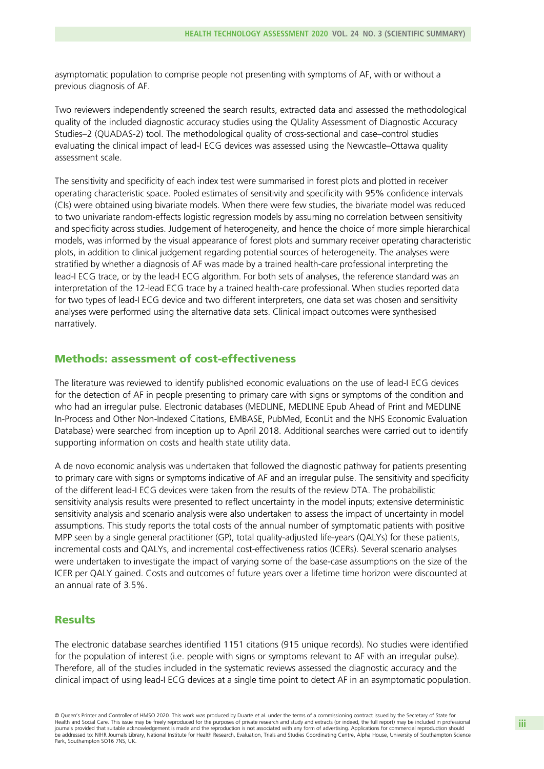asymptomatic population to comprise people not presenting with symptoms of AF, with or without a previous diagnosis of AF.

Two reviewers independently screened the search results, extracted data and assessed the methodological quality of the included diagnostic accuracy studies using the QUality Assessment of Diagnostic Accuracy Studies–2 (QUADAS-2) tool. The methodological quality of cross-sectional and case–control studies evaluating the clinical impact of lead-I ECG devices was assessed using the Newcastle–Ottawa quality assessment scale.

The sensitivity and specificity of each index test were summarised in forest plots and plotted in receiver operating characteristic space. Pooled estimates of sensitivity and specificity with 95% confidence intervals (CIs) were obtained using bivariate models. When there were few studies, the bivariate model was reduced to two univariate random-effects logistic regression models by assuming no correlation between sensitivity and specificity across studies. Judgement of heterogeneity, and hence the choice of more simple hierarchical models, was informed by the visual appearance of forest plots and summary receiver operating characteristic plots, in addition to clinical judgement regarding potential sources of heterogeneity. The analyses were stratified by whether a diagnosis of AF was made by a trained health-care professional interpreting the lead-I ECG trace, or by the lead-I ECG algorithm. For both sets of analyses, the reference standard was an interpretation of the 12-lead ECG trace by a trained health-care professional. When studies reported data for two types of lead-I ECG device and two different interpreters, one data set was chosen and sensitivity analyses were performed using the alternative data sets. Clinical impact outcomes were synthesised narratively.

### Methods: assessment of cost-effectiveness

The literature was reviewed to identify published economic evaluations on the use of lead-I ECG devices for the detection of AF in people presenting to primary care with signs or symptoms of the condition and who had an irregular pulse. Electronic databases (MEDLINE, MEDLINE Epub Ahead of Print and MEDLINE In-Process and Other Non-Indexed Citations, EMBASE, PubMed, EconLit and the NHS Economic Evaluation Database) were searched from inception up to April 2018. Additional searches were carried out to identify supporting information on costs and health state utility data.

A de novo economic analysis was undertaken that followed the diagnostic pathway for patients presenting to primary care with signs or symptoms indicative of AF and an irregular pulse. The sensitivity and specificity of the different lead-I ECG devices were taken from the results of the review DTA. The probabilistic sensitivity analysis results were presented to reflect uncertainty in the model inputs; extensive deterministic sensitivity analysis and scenario analysis were also undertaken to assess the impact of uncertainty in model assumptions. This study reports the total costs of the annual number of symptomatic patients with positive MPP seen by a single general practitioner (GP), total quality-adjusted life-years (QALYs) for these patients, incremental costs and QALYs, and incremental cost-effectiveness ratios (ICERs). Several scenario analyses were undertaken to investigate the impact of varying some of the base-case assumptions on the size of the ICER per QALY gained. Costs and outcomes of future years over a lifetime time horizon were discounted at an annual rate of 3.5%.

## **Results**

The electronic database searches identified 1151 citations (915 unique records). No studies were identified for the population of interest (i.e. people with signs or symptoms relevant to AF with an irregular pulse). Therefore, all of the studies included in the systematic reviews assessed the diagnostic accuracy and the clinical impact of using lead-I ECG devices at a single time point to detect AF in an asymptomatic population.

<sup>©</sup> Queen's Printer and Controller of HMSO 2020. This work was produced by Duarte et al. under the terms of a commissioning contract issued by the Secretary of State for Health and Social Care. This issue may be freely reproduced for the purposes of private research and study and extracts (or indeed, the full report) may be included in professional journals provided that suitable acknowledgement is made and the reproduction is not associated with any form of advertising. Applications for commercial reproduction should be addressed to: NIHR Journals Library, National Institute for Health Research, Evaluation, Trials and Studies Coordinating Centre, Alpha House, University of Southampton Science Park, Southampton SO16 7NS, UK.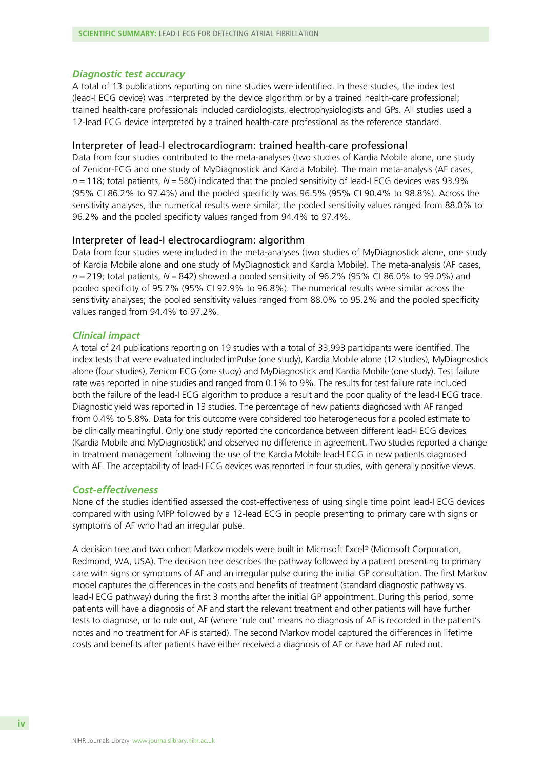Diagnostic test accuracy A total of 13 publications reporting on nine studies were identified. In these studies, the index test (lead-I ECG device) was interpreted by the device algorithm or by a trained health-care professional; trained health-care professionals included cardiologists, electrophysiologists and GPs. All studies used a 12-lead ECG device interpreted by a trained health-care professional as the reference standard.

### Interpreter of lead-I electrocardiogram: trained health-care professional

Data from four studies contributed to the meta-analyses (two studies of Kardia Mobile alone, one study of Zenicor-ECG and one study of MyDiagnostick and Kardia Mobile). The main meta-analysis (AF cases,  $n = 118$ ; total patients,  $N = 580$ ) indicated that the pooled sensitivity of lead-I ECG devices was 93.9% (95% CI 86.2% to 97.4%) and the pooled specificity was 96.5% (95% CI 90.4% to 98.8%). Across the sensitivity analyses, the numerical results were similar; the pooled sensitivity values ranged from 88.0% to 96.2% and the pooled specificity values ranged from 94.4% to 97.4%.

### Interpreter of lead-I electrocardiogram: algorithm

Data from four studies were included in the meta-analyses (two studies of MyDiagnostick alone, one study of Kardia Mobile alone and one study of MyDiagnostick and Kardia Mobile). The meta-analysis (AF cases,  $n = 219$ ; total patients,  $N = 842$ ) showed a pooled sensitivity of 96.2% (95% CI 86.0% to 99.0%) and pooled specificity of 95.2% (95% CI 92.9% to 96.8%). The numerical results were similar across the sensitivity analyses; the pooled sensitivity values ranged from 88.0% to 95.2% and the pooled specificity values ranged from 94.4% to 97.2%.

Clinical impact A total of 24 publications reporting on 19 studies with a total of 33,993 participants were identified. The index tests that were evaluated included imPulse (one study), Kardia Mobile alone (12 studies), MyDiagnostick alone (four studies), Zenicor ECG (one study) and MyDiagnostick and Kardia Mobile (one study). Test failure rate was reported in nine studies and ranged from 0.1% to 9%. The results for test failure rate included both the failure of the lead-I ECG algorithm to produce a result and the poor quality of the lead-I ECG trace. Diagnostic yield was reported in 13 studies. The percentage of new patients diagnosed with AF ranged from 0.4% to 5.8%. Data for this outcome were considered too heterogeneous for a pooled estimate to be clinically meaningful. Only one study reported the concordance between different lead-I ECG devices (Kardia Mobile and MyDiagnostick) and observed no difference in agreement. Two studies reported a change in treatment management following the use of the Kardia Mobile lead-I ECG in new patients diagnosed with AF. The acceptability of lead-I ECG devices was reported in four studies, with generally positive views.

### **Cost-effectiveness**

Cost-effectiveness None of the studies identified assessed the cost-effectiveness of using single time point lead-I ECG devices compared with using MPP followed by a 12-lead ECG in people presenting to primary care with signs or symptoms of AF who had an irregular pulse.

A decision tree and two cohort Markov models were built in Microsoft Excel® (Microsoft Corporation, Redmond, WA, USA). The decision tree describes the pathway followed by a patient presenting to primary care with signs or symptoms of AF and an irregular pulse during the initial GP consultation. The first Markov model captures the differences in the costs and benefits of treatment (standard diagnostic pathway vs. lead-I ECG pathway) during the first 3 months after the initial GP appointment. During this period, some patients will have a diagnosis of AF and start the relevant treatment and other patients will have further tests to diagnose, or to rule out, AF (where 'rule out' means no diagnosis of AF is recorded in the patient's notes and no treatment for AF is started). The second Markov model captured the differences in lifetime costs and benefits after patients have either received a diagnosis of AF or have had AF ruled out.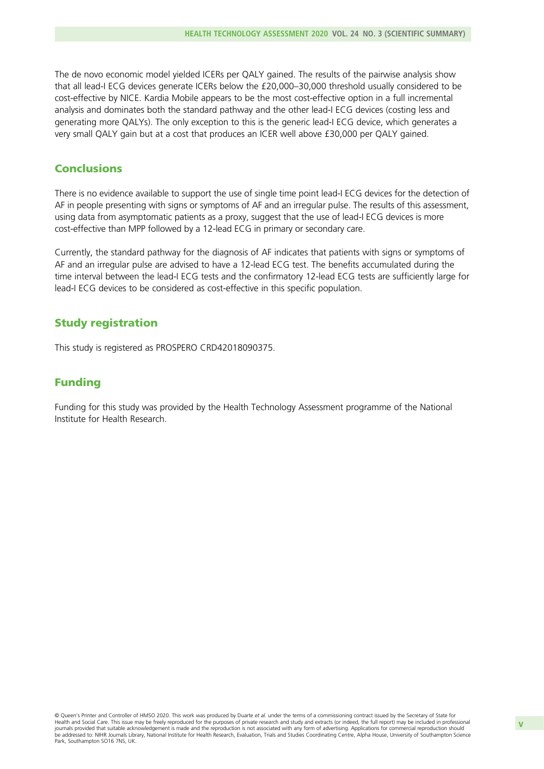The de novo economic model yielded ICERs per QALY gained. The results of the pairwise analysis show that all lead-I ECG devices generate ICERs below the £20,000–30,000 threshold usually considered to be cost-effective by NICE. Kardia Mobile appears to be the most cost-effective option in a full incremental analysis and dominates both the standard pathway and the other lead-I ECG devices (costing less and generating more QALYs). The only exception to this is the generic lead-I ECG device, which generates a very small QALY gain but at a cost that produces an ICER well above £30,000 per QALY gained.

# **Conclusions**

There is no evidence available to support the use of single time point lead-I ECG devices for the detection of AF in people presenting with signs or symptoms of AF and an irregular pulse. The results of this assessment, using data from asymptomatic patients as a proxy, suggest that the use of lead-I ECG devices is more cost-effective than MPP followed by a 12-lead ECG in primary or secondary care.

Currently, the standard pathway for the diagnosis of AF indicates that patients with signs or symptoms of AF and an irregular pulse are advised to have a 12-lead ECG test. The benefits accumulated during the time interval between the lead-I ECG tests and the confirmatory 12-lead ECG tests are sufficiently large for lead-I ECG devices to be considered as cost-effective in this specific population.

# Study registration

This study is registered as PROSPERO CRD42018090375.

# Funding

Funding for this study was provided by the Health Technology Assessment programme of the National Institute for Health Research.

© Queen's Printer and Controller of HMSO 2020. This work was produced by Duarte et al. under the terms of a commissioning contract issued by the Secretary of State for Health and Social Care. This issue may be freely reproduced for the purposes of private research and study and extracts (or indeed, the full report) may be included in professional journals provided that suitable acknowledgement is made and the reproduction is not associated with any form of advertising. Applications for commercial reproduction should be addressed to: NIHR Journals Library, National Institute for Health Research, Evaluation, Trials and Studies Coordinating Centre, Alpha House, University of Southampton Science Park, Southampton SO16 7NS, UK.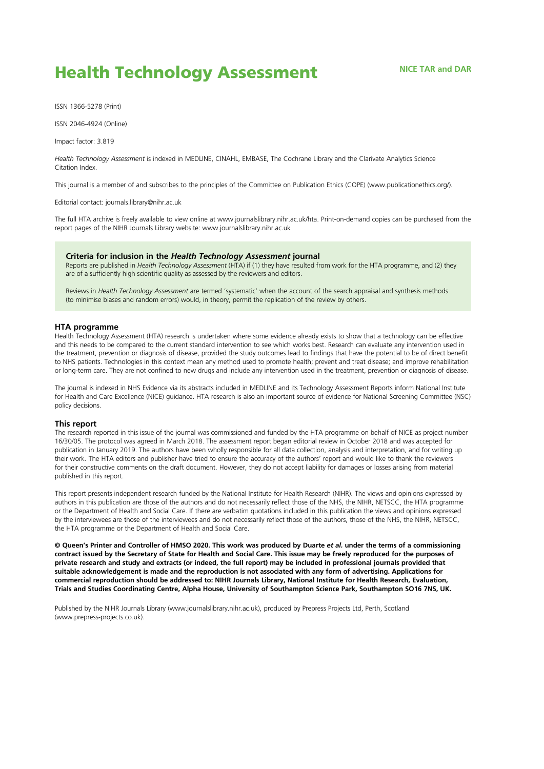# **Health Technology Assessment** NICE TAR and DAR

ISSN 1366-5278 (Print)

ISSN 2046-4924 (Online)

Impact factor: 3.819

Health Technology Assessment is indexed in MEDLINE, CINAHL, EMBASE, The Cochrane Library and the Clarivate Analytics Science Citation Index.

This journal is a member of and subscribes to the principles of the Committee on Publication Ethics (COPE) (www.publicationethics.org/).

Editorial contact: journals.library@nihr.ac.uk

The full HTA archive is freely available to view online at www.journalslibrary.nihr.ac.uk/hta. Print-on-demand copies can be purchased from the report pages of the NIHR Journals Library website: www.journalslibrary.nihr.ac.uk

#### Criteria for inclusion in the Health Technology Assessment journal

Reports are published in Health Technology Assessment (HTA) if (1) they have resulted from work for the HTA programme, and (2) they are of a sufficiently high scientific quality as assessed by the reviewers and editors.

Reviews in Health Technology Assessment are termed 'systematic' when the account of the search appraisal and synthesis methods (to minimise biases and random errors) would, in theory, permit the replication of the review by others.

#### HTA programme

Health Technology Assessment (HTA) research is undertaken where some evidence already exists to show that a technology can be effective and this needs to be compared to the current standard intervention to see which works best. Research can evaluate any intervention used in the treatment, prevention or diagnosis of disease, provided the study outcomes lead to findings that have the potential to be of direct benefit to NHS patients. Technologies in this context mean any method used to promote health; prevent and treat disease; and improve rehabilitation or long-term care. They are not confined to new drugs and include any intervention used in the treatment, prevention or diagnosis of disease.

The journal is indexed in NHS Evidence via its abstracts included in MEDLINE and its Technology Assessment Reports inform National Institute for Health and Care Excellence (NICE) guidance. HTA research is also an important source of evidence for National Screening Committee (NSC) policy decisions.

#### This report

The research reported in this issue of the journal was commissioned and funded by the HTA programme on behalf of NICE as project number 16/30/05. The protocol was agreed in March 2018. The assessment report began editorial review in October 2018 and was accepted for publication in January 2019. The authors have been wholly responsible for all data collection, analysis and interpretation, and for writing up their work. The HTA editors and publisher have tried to ensure the accuracy of the authors' report and would like to thank the reviewers for their constructive comments on the draft document. However, they do not accept liability for damages or losses arising from material published in this report.

This report presents independent research funded by the National Institute for Health Research (NIHR). The views and opinions expressed by authors in this publication are those of the authors and do not necessarily reflect those of the NHS, the NIHR, NETSCC, the HTA programme or the Department of Health and Social Care. If there are verbatim quotations included in this publication the views and opinions expressed by the interviewees are those of the interviewees and do not necessarily reflect those of the authors, those of the NHS, the NIHR, NETSCC, the HTA programme or the Department of Health and Social Care.

© Queen's Printer and Controller of HMSO 2020. This work was produced by Duarte et al. under the terms of a commissioning contract issued by the Secretary of State for Health and Social Care. This issue may be freely reproduced for the purposes of private research and study and extracts (or indeed, the full report) may be included in professional journals provided that suitable acknowledgement is made and the reproduction is not associated with any form of advertising. Applications for commercial reproduction should be addressed to: NIHR Journals Library, National Institute for Health Research, Evaluation, Trials and Studies Coordinating Centre, Alpha House, University of Southampton Science Park, Southampton SO16 7NS, UK.

Published by the NIHR Journals Library (www.journalslibrary.nihr.ac.uk), produced by Prepress Projects Ltd, Perth, Scotland (www.prepress-projects.co.uk).